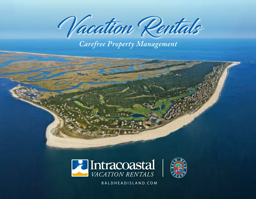Vacation Rentals

*Carefree Property Management*





(800)443.6305 | BALDHEADISLAND.COM BALDHEADISLAND.COM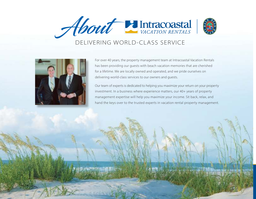

## DELIVERING WORLD-CLASS SERVICE



For over 40 years, the property management team at Intracoastal Vacation Rentals has been providing our guests with beach vacation memories that are cherished for a lifetime. We are locally owned and operated, and we pride ourselves on delivering world-class services to our owners and guests.

Our team of experts is dedicated to helping you maximize your return on your property investment. In a business where experience matters, our 40+ years of property management expertise will help you maximize your income. Sit back, relax, and hand the keys over to the trusted experts in vacation rental property management.

 $\mathcal{L}(\mathcal{S})$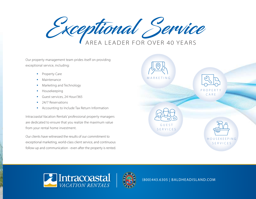Exceptional Service AREA LEADER FOR OVER 40 YEARS

Our property management team prides itself on providing exceptional service, including:

- Property Care
- Maintenance
- Marketing and Technology
- Housekeeping
- Guest services, 24 Hour/365
- 24/7 Reservations
- Accounting to Include Tax Return Information

Intracoastal Vacation Rentals' professional property managers are dedicated to ensure that you realize the maximum value from your rental home investment.

Our clients have witnessed the results of our commitment to exceptional marketing, world-class client service, and continuous follow-up and communication - even after the property is rented.





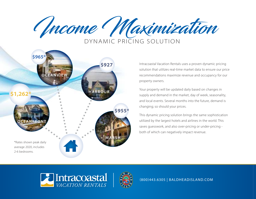



Intracoastal Vacation Rentals uses a proven dynamic pricing solution that utilizes real-time market data to ensure our price recommendations maximize revenue and occupancy for our property owners.

Your property will be updated daily based on changes in supply and demand in the market, day of week, seasonality, and local events. Several months into the future, demand is changing; so should your prices.

This dynamic pricing solution brings the same sophistication utilized by the largest hotels and airlines in the world. This saves guesswork, and also over-pricing or under-pricing both of which can negatively impact revenue.



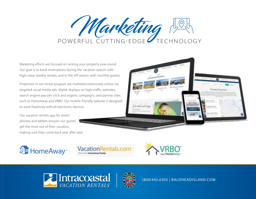

Marketing efforts are focused on renting your property year-round. Our goal is to book reservations during the vacation season with high-value weekly rentals, and in the off-season with monthly guests.

Properties in our rental program are marketed extensively online via targeted social media ads, digital displays on high-traffic websites, search engine pay-per-click and organic campaigns, and partner sites such as HomeAway and VRBO. Our mobile-friendly website is designed to work flawlessly with all electronic devices.

Our vacation rentals app for smartphones and tablets ensures our guests get the most out of their vacation, making sure they come back year after year.











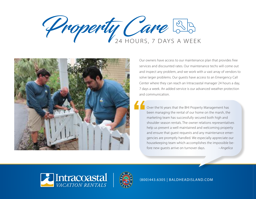



Our owners have access to our maintenance plan that provides free services and discounted rates. Our maintenance techs will come out and inspect any problem, and we work with a vast array of vendors to solve larger problems. Our guests have access to an Emergency Call Center where they can reach an Intracoastal manager 24 hours a day, 7 days a week. An added service is our advanced weather protection and communication.

Over the16 years that the BHI Property Management has been managing the rental of our home on the marsh, the marketing team has successfully secured both high and shoulder season rentals. The owner relations representatives help us present a well maintained and welcoming property and ensure that guest requests and any maintenance emergencies are promptly handled. We especially appreciate our housekeeping team which accomplishes the impossible before new guests arrive on turnover days. -- Angelica



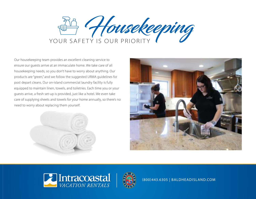

Our housekeeping team provides an excellent cleaning service to ensure our guests arrive at an immaculate home. We take care of all housekeeping needs, so you don't have to worry about anything. Our products are "green," and we follow the suggested URMA guidelines for post depart cleans. Our on-island commercial laundry facility is fully equipped to maintain linen, towels, and toiletries. Each time you or your guests arrive, a fresh set-up is provided, just like a hotel. We even take care of supplying sheets and towels for your home annually, so there's no need to worry about replacing them yourself.







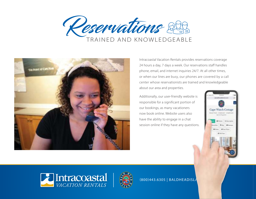



Intracoastal Vacation Rentals provides reservations coverage 24 hours a day, 7 days a week. Our reservations staff handles phone, email, and internet inquiries 24/7. At all other times, or when our lines are busy, our phones are covered by a call center whose reservationists are trained and knowledgeable about our area and properties.

Additionally, our user-friendly website is responsible for a significant portion of our bookings, as many vacationers now book online. Website users also have the ability to engage in a chat session online if they have any questions.





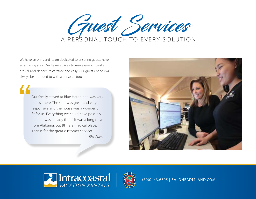

We have an on-island team dedicated to ensuring guests have an amazing stay. Our team strives to make every guest's arrival and departure carefree and easy. Our guests' needs will always be attended to with a personal touch.

Our family stayed at Blue Heron and was very happy there. The staff was great and very responsive and the house was a wonderful fit for us. Everything we could have possibly needed was already there! It was a long drive from Alabama, but BHI is a magical place. Thanks for the great customer service! -- BHI Guest





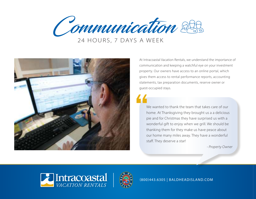Communication 223 24 HOURS, 7 DAYS A WEEK



At Intracoastal Vacation Rentals, we understand the importance of communication and keeping a watchful eye on your investment property. Our owners have access to an online portal, which gives them access to rental performance reports, accounting statements, tax preparation documents, reserve owner or guest-occupied stays.

We wanted to thank the team that takes care of our home. At Thanksgiving they brought us a a delicious pie and for Christmas they have surprised us with a wonderful gift to enjoy when we grill. We should be thanking them for they make us have peace about our home many miles away. They have a wonderful staff. They deserve a star!

- Property Owner



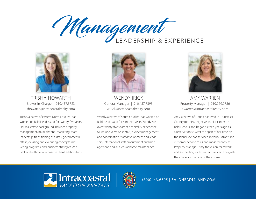



TRISHA HOWARTH Broker-In-Charge | 910.457.3723 thowarth@intracoastalrealty.com

Trisha, a native of eastern North Carolina, has worked on Bald Head Island for twenty-five years. Her real estate background includes property management, multi-channel marketing, team leadership, transitioning of assets, governmental affairs, devising and executing concepts, marketing programs, and business strategies. As a broker, she thrives on positive client relationships.



WENDY IRICK General Manager | 910.457.7393 wirick@intracoastalrealty.com

Wendy, a native of South Carolina, has worked on Bald Head Island for nineteen years. Wendy has over twenty-five years of hospitality experience to include vacation rentals, project management and coordination, staff development and leadership, international staff procurement and management, and all areas of home maintenance.



AMY WARREN Property Manager | 910.269.2786 awarren@intracoastalrealty.com

Amy, a native of Florida has lived in Brunswick County for thirty-eight years. Her career on Bald Head Island began sixteen years ago as a reservationist. Over the span of her time on the island she has serviced in various front-line customer service roles and most recently as Property Manager. Amy thrives on teamwork and supporting each owner to obtain the goals they have for the care of their home.